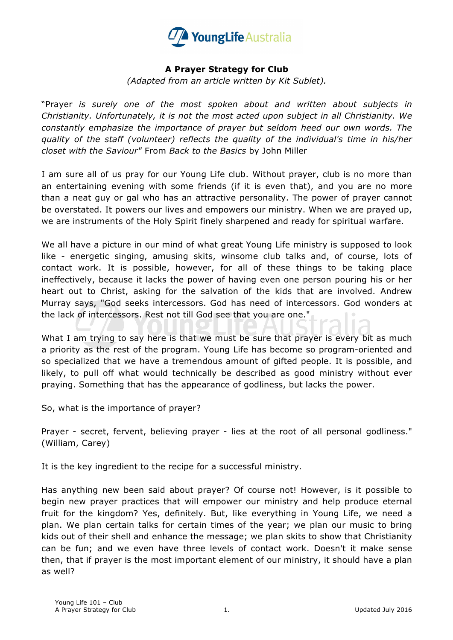

## **A Prayer Strategy for Club**

*(Adapted from an article written by Kit Sublet).*

"Prayer *is surely one of the most spoken about and written about subjects in Christianity. Unfortunately, it is not the most acted upon subject in all Christianity. We constantly emphasize the importance of prayer but seldom heed our own words. The quality of the staff (volunteer) reflects the quality of the individual's time in his/her closet with the Saviour"* From *Back to the Basics* by John Miller

I am sure all of us pray for our Young Life club. Without prayer, club is no more than an entertaining evening with some friends (if it is even that), and you are no more than a neat guy or gal who has an attractive personality. The power of prayer cannot be overstated. It powers our lives and empowers our ministry. When we are prayed up, we are instruments of the Holy Spirit finely sharpened and ready for spiritual warfare.

We all have a picture in our mind of what great Young Life ministry is supposed to look like - energetic singing, amusing skits, winsome club talks and, of course, lots of contact work. It is possible, however, for all of these things to be taking place ineffectively, because it lacks the power of having even one person pouring his or her heart out to Christ, asking for the salvation of the kids that are involved. Andrew Murray says, "God seeks intercessors. God has need of intercessors. God wonders at the lack of intercessors. Rest not till God see that you are one."

What I am trying to say here is that we must be sure that prayer is every bit as much a priority as the rest of the program. Young Life has become so program-oriented and so specialized that we have a tremendous amount of gifted people. It is possible, and likely, to pull off what would technically be described as good ministry without ever praying. Something that has the appearance of godliness, but lacks the power.

So, what is the importance of prayer?

Prayer - secret, fervent, believing prayer - lies at the root of all personal godliness." (William, Carey)

It is the key ingredient to the recipe for a successful ministry.

Has anything new been said about prayer? Of course not! However, is it possible to begin new prayer practices that will empower our ministry and help produce eternal fruit for the kingdom? Yes, definitely. But, like everything in Young Life, we need a plan. We plan certain talks for certain times of the year; we plan our music to bring kids out of their shell and enhance the message; we plan skits to show that Christianity can be fun; and we even have three levels of contact work. Doesn't it make sense then, that if prayer is the most important element of our ministry, it should have a plan as well?